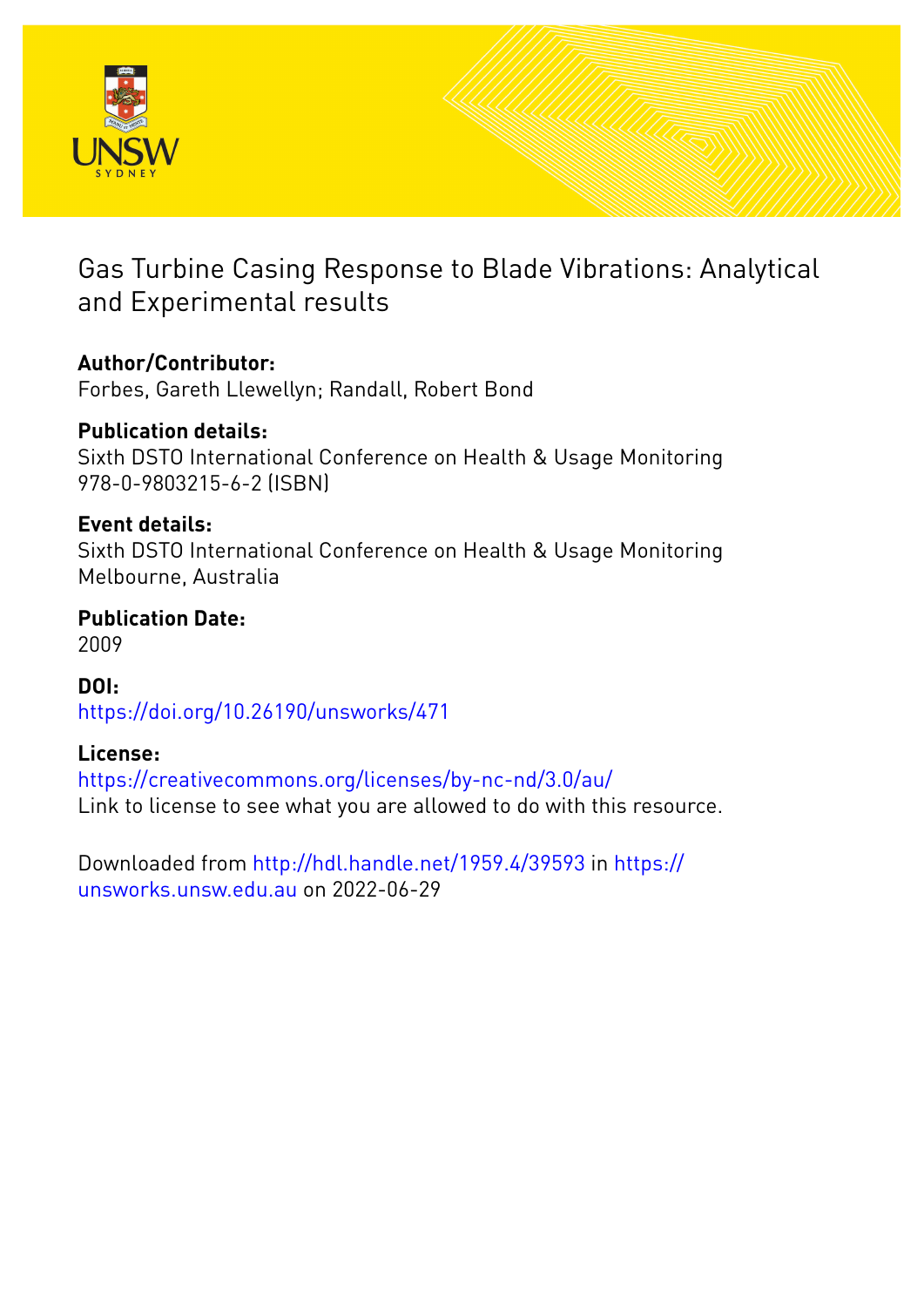

# Gas Turbine Casing Response to Blade Vibrations: Analytical and Experimental results

# **Author/Contributor:**

Forbes, Gareth Llewellyn; Randall, Robert Bond

# **Publication details:**

Sixth DSTO International Conference on Health & Usage Monitoring 978-0-9803215-6-2 (ISBN)

## **Event details:**

Sixth DSTO International Conference on Health & Usage Monitoring Melbourne, Australia

# **Publication Date:**

2009

**DOI:** [https://doi.org/10.26190/unsworks/471](http://dx.doi.org/https://doi.org/10.26190/unsworks/471)

## **License:**

<https://creativecommons.org/licenses/by-nc-nd/3.0/au/> Link to license to see what you are allowed to do with this resource.

Downloaded from <http://hdl.handle.net/1959.4/39593> in [https://](https://unsworks.unsw.edu.au) [unsworks.unsw.edu.au](https://unsworks.unsw.edu.au) on 2022-06-29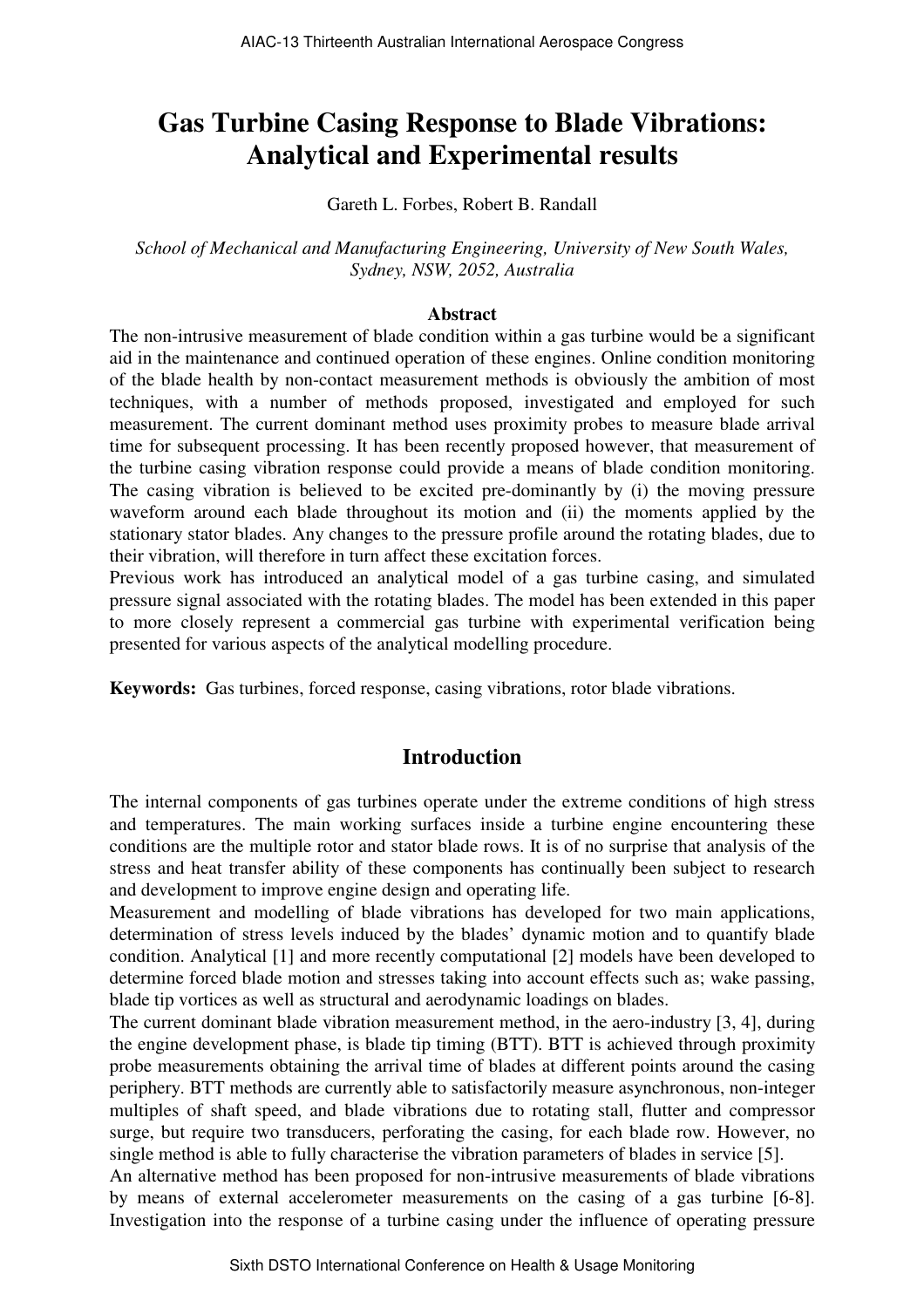# **Gas Turbine Casing Response to Blade Vibrations: Analytical and Experimental results**

Gareth L. Forbes, Robert B. Randall

*School of Mechanical and Manufacturing Engineering, University of New South Wales, Sydney, NSW, 2052, Australia* 

#### **Abstract**

The non-intrusive measurement of blade condition within a gas turbine would be a significant aid in the maintenance and continued operation of these engines. Online condition monitoring of the blade health by non-contact measurement methods is obviously the ambition of most techniques, with a number of methods proposed, investigated and employed for such measurement. The current dominant method uses proximity probes to measure blade arrival time for subsequent processing. It has been recently proposed however, that measurement of the turbine casing vibration response could provide a means of blade condition monitoring. The casing vibration is believed to be excited pre-dominantly by (i) the moving pressure waveform around each blade throughout its motion and (ii) the moments applied by the stationary stator blades. Any changes to the pressure profile around the rotating blades, due to their vibration, will therefore in turn affect these excitation forces.

Previous work has introduced an analytical model of a gas turbine casing, and simulated pressure signal associated with the rotating blades. The model has been extended in this paper to more closely represent a commercial gas turbine with experimental verification being presented for various aspects of the analytical modelling procedure.

**Keywords:** Gas turbines, forced response, casing vibrations, rotor blade vibrations.

#### **Introduction**

The internal components of gas turbines operate under the extreme conditions of high stress and temperatures. The main working surfaces inside a turbine engine encountering these conditions are the multiple rotor and stator blade rows. It is of no surprise that analysis of the stress and heat transfer ability of these components has continually been subject to research and development to improve engine design and operating life.

Measurement and modelling of blade vibrations has developed for two main applications, determination of stress levels induced by the blades' dynamic motion and to quantify blade condition. Analytical [1] and more recently computational [2] models have been developed to determine forced blade motion and stresses taking into account effects such as; wake passing, blade tip vortices as well as structural and aerodynamic loadings on blades.

The current dominant blade vibration measurement method, in the aero-industry [3, 4], during the engine development phase, is blade tip timing (BTT). BTT is achieved through proximity probe measurements obtaining the arrival time of blades at different points around the casing periphery. BTT methods are currently able to satisfactorily measure asynchronous, non-integer multiples of shaft speed, and blade vibrations due to rotating stall, flutter and compressor surge, but require two transducers, perforating the casing, for each blade row. However, no single method is able to fully characterise the vibration parameters of blades in service [5].

An alternative method has been proposed for non-intrusive measurements of blade vibrations by means of external accelerometer measurements on the casing of a gas turbine [6-8]. Investigation into the response of a turbine casing under the influence of operating pressure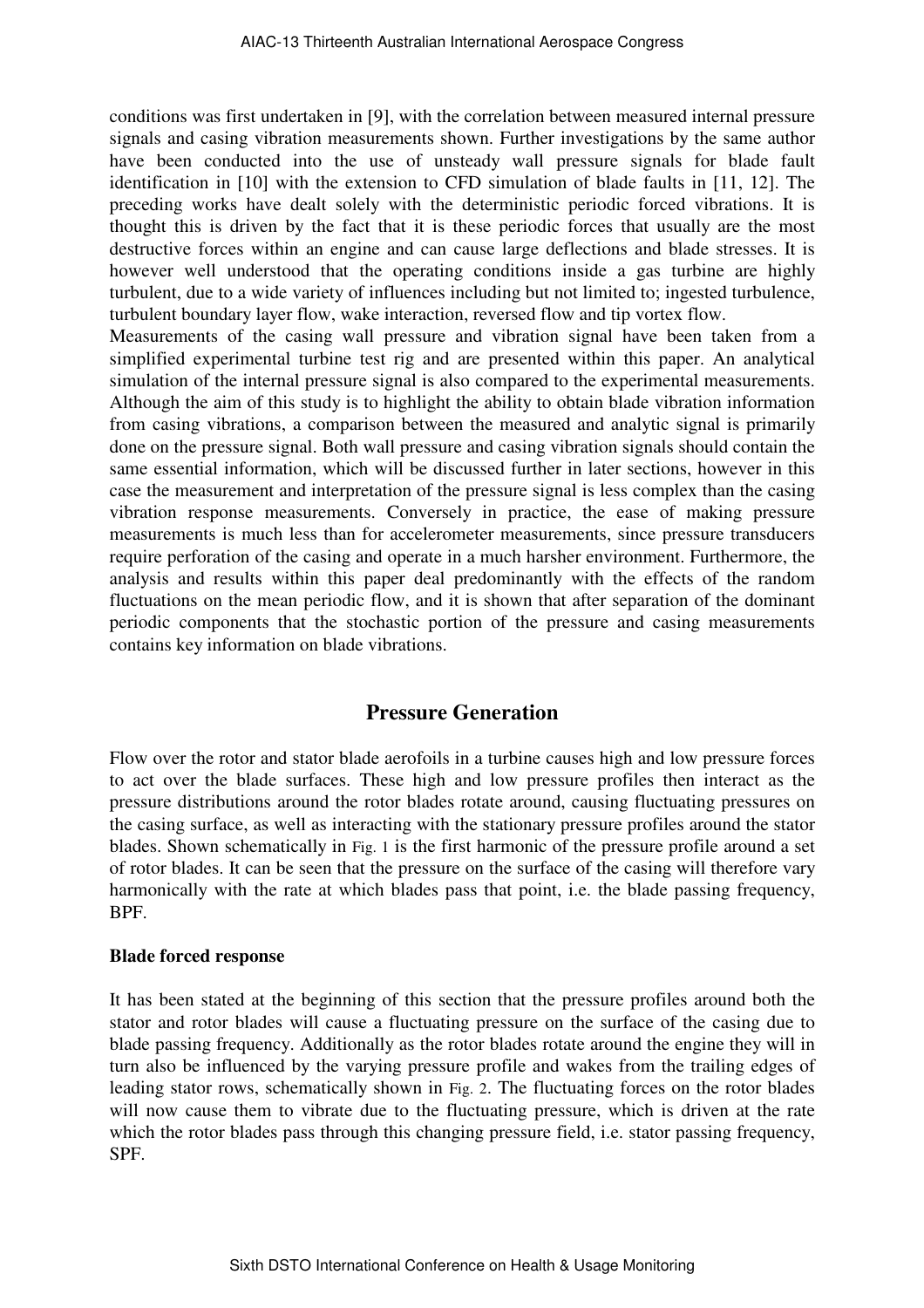conditions was first undertaken in [9], with the correlation between measured internal pressure signals and casing vibration measurements shown. Further investigations by the same author have been conducted into the use of unsteady wall pressure signals for blade fault identification in [10] with the extension to CFD simulation of blade faults in [11, 12]. The preceding works have dealt solely with the deterministic periodic forced vibrations. It is thought this is driven by the fact that it is these periodic forces that usually are the most destructive forces within an engine and can cause large deflections and blade stresses. It is however well understood that the operating conditions inside a gas turbine are highly turbulent, due to a wide variety of influences including but not limited to; ingested turbulence, turbulent boundary layer flow, wake interaction, reversed flow and tip vortex flow.

Measurements of the casing wall pressure and vibration signal have been taken from a simplified experimental turbine test rig and are presented within this paper. An analytical simulation of the internal pressure signal is also compared to the experimental measurements. Although the aim of this study is to highlight the ability to obtain blade vibration information from casing vibrations, a comparison between the measured and analytic signal is primarily done on the pressure signal. Both wall pressure and casing vibration signals should contain the same essential information, which will be discussed further in later sections, however in this case the measurement and interpretation of the pressure signal is less complex than the casing vibration response measurements. Conversely in practice, the ease of making pressure measurements is much less than for accelerometer measurements, since pressure transducers require perforation of the casing and operate in a much harsher environment. Furthermore, the analysis and results within this paper deal predominantly with the effects of the random fluctuations on the mean periodic flow, and it is shown that after separation of the dominant periodic components that the stochastic portion of the pressure and casing measurements contains key information on blade vibrations.

## **Pressure Generation**

Flow over the rotor and stator blade aerofoils in a turbine causes high and low pressure forces to act over the blade surfaces. These high and low pressure profiles then interact as the pressure distributions around the rotor blades rotate around, causing fluctuating pressures on the casing surface, as well as interacting with the stationary pressure profiles around the stator blades. Shown schematically in Fig. 1 is the first harmonic of the pressure profile around a set of rotor blades. It can be seen that the pressure on the surface of the casing will therefore vary harmonically with the rate at which blades pass that point, i.e. the blade passing frequency, BPF.

#### **Blade forced response**

It has been stated at the beginning of this section that the pressure profiles around both the stator and rotor blades will cause a fluctuating pressure on the surface of the casing due to blade passing frequency. Additionally as the rotor blades rotate around the engine they will in turn also be influenced by the varying pressure profile and wakes from the trailing edges of leading stator rows, schematically shown in Fig. 2. The fluctuating forces on the rotor blades will now cause them to vibrate due to the fluctuating pressure, which is driven at the rate which the rotor blades pass through this changing pressure field, i.e. stator passing frequency, SPF.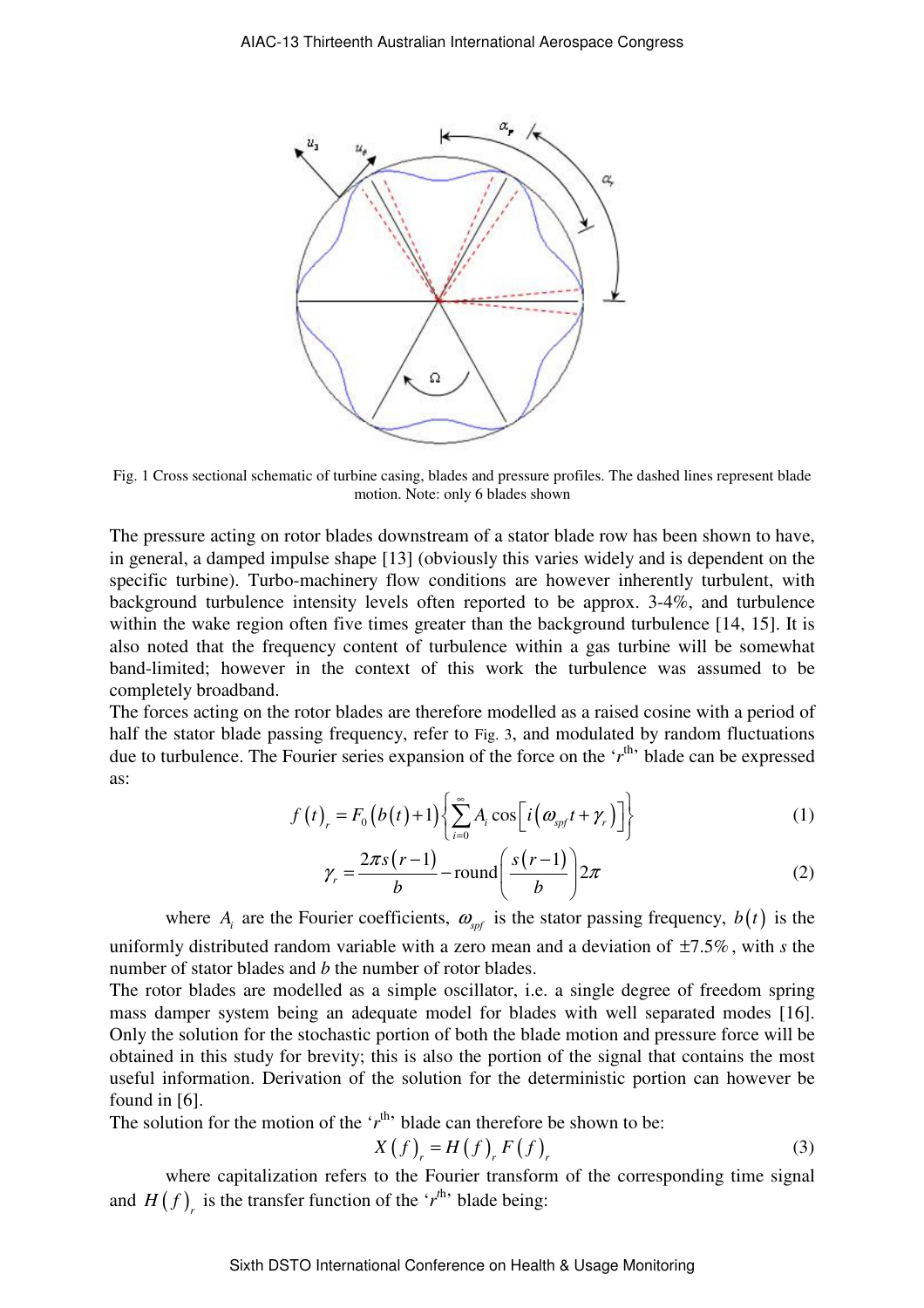

Fig. 1 Cross sectional schematic of turbine casing, blades and pressure profiles. The dashed lines represent blade motion. Note: only 6 blades shown

The pressure acting on rotor blades downstream of a stator blade row has been shown to have, in general, a damped impulse shape [13] (obviously this varies widely and is dependent on the specific turbine). Turbo-machinery flow conditions are however inherently turbulent, with background turbulence intensity levels often reported to be approx. 3-4%, and turbulence within the wake region often five times greater than the background turbulence [14, 15]. It is also noted that the frequency content of turbulence within a gas turbine will be somewhat band-limited; however in the context of this work the turbulence was assumed to be completely broadband.

The forces acting on the rotor blades are therefore modelled as a raised cosine with a period of half the stator blade passing frequency, refer to Fig. 3, and modulated by random fluctuations due to turbulence. The Fourier series expansion of the force on the 'r<sup>th,</sup> blade can be expressed as:

$$
f(t)_{r} = F_0(b(t)+1)\left\{\sum_{i=0}^{\infty} A_i \cos\left[i\left(\omega_{\text{spf}}t + \gamma_{r}\right)\right]\right\}
$$
 (1)

$$
\gamma_r = \frac{2\pi s (r-1)}{b} - \text{round}\left(\frac{s (r-1)}{b}\right) 2\pi \tag{2}
$$

where  $A_i$  are the Fourier coefficients,  $\omega_{\text{spf}}$  is the stator passing frequency,  $b(t)$  is the uniformly distributed random variable with a zero mean and a deviation of  $\pm 7.5\%$ , with *s* the number of stator blades and *b* the number of rotor blades.

The rotor blades are modelled as a simple oscillator, i.e. a single degree of freedom spring mass damper system being an adequate model for blades with well separated modes [16]. Only the solution for the stochastic portion of both the blade motion and pressure force will be obtained in this study for brevity; this is also the portion of the signal that contains the most useful information. Derivation of the solution for the deterministic portion can however be found in [6].

The solution for the motion of the  $'r^{\text{th}}$  blade can therefore be shown to be:

$$
X(f)_{r} = H(f)_{r} F(f)_{r}
$$
 (3)

where capitalization refers to the Fourier transform of the corresponding time signal and  $H(f)$ <sub>r</sub> is the transfer function of the ' $r<sup>th</sup>$ ' blade being: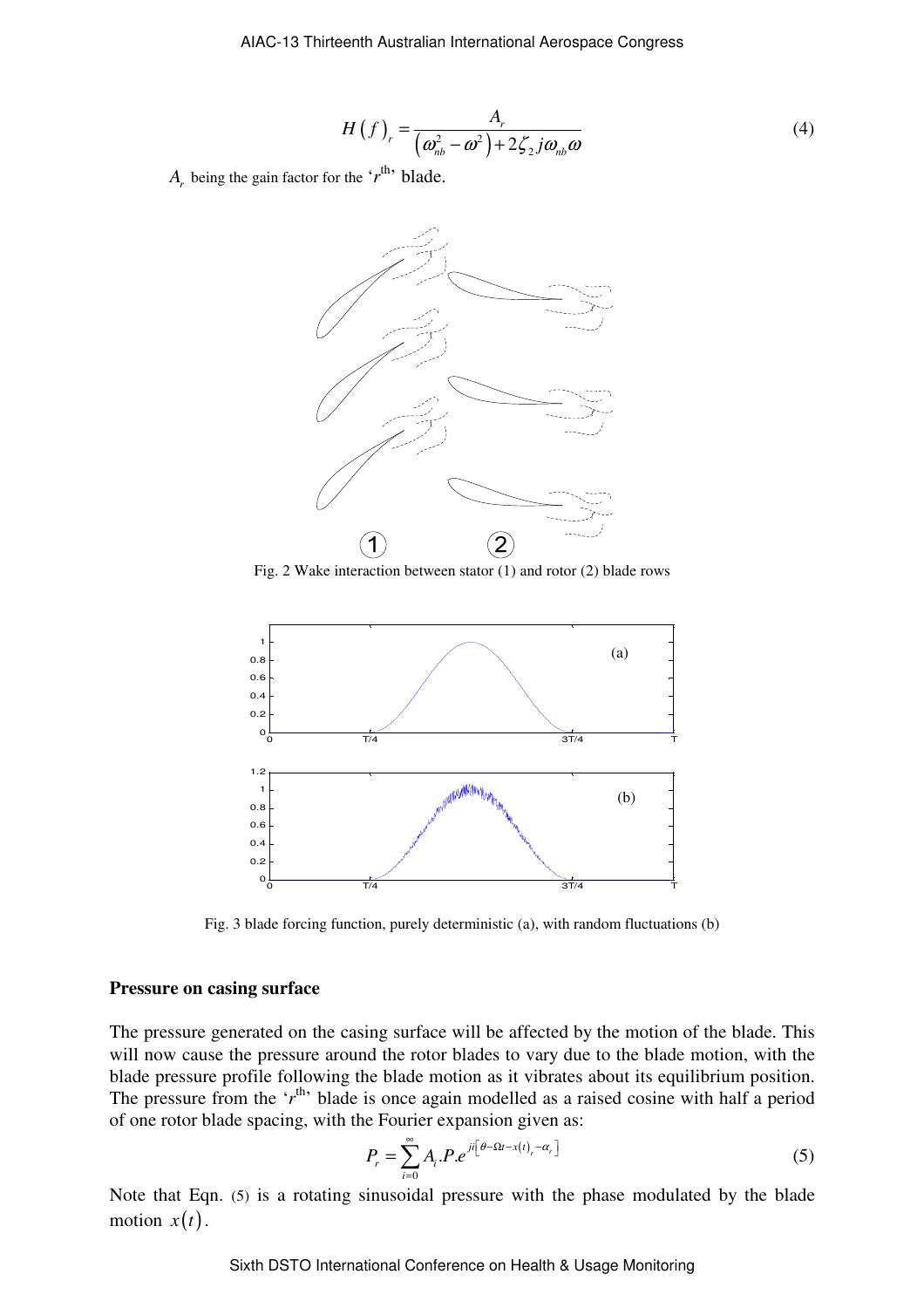$$
H\left(f\right)_{r} = \frac{A_{r}}{\left(\omega_{nb}^{2} - \omega^{2}\right) + 2\zeta_{2}j\omega_{nb}\omega}
$$
\n<sup>(4)</sup>

 $A_r$  being the gain factor for the ' $r^{\text{th}}$ ' blade.



Fig. 2 Wake interaction between stator (1) and rotor (2) blade rows



Fig. 3 blade forcing function, purely deterministic (a), with random fluctuations (b)

#### **Pressure on casing surface**

The pressure generated on the casing surface will be affected by the motion of the blade. This will now cause the pressure around the rotor blades to vary due to the blade motion, with the blade pressure profile following the blade motion as it vibrates about its equilibrium position. The pressure from the  $r<sup>th</sup>$  blade is once again modelled as a raised cosine with half a period of one rotor blade spacing, with the Fourier expansion given as:

$$
P_r = \sum_{i=0}^{\infty} A_i P_i e^{i\theta \left[\theta - \Omega t - x(t)\right]r - \alpha_r}
$$
\n(5)

Note that Eqn. (5) is a rotating sinusoidal pressure with the phase modulated by the blade motion  $x(t)$ .

Sixth DSTO International Conference on Health & Usage Monitoring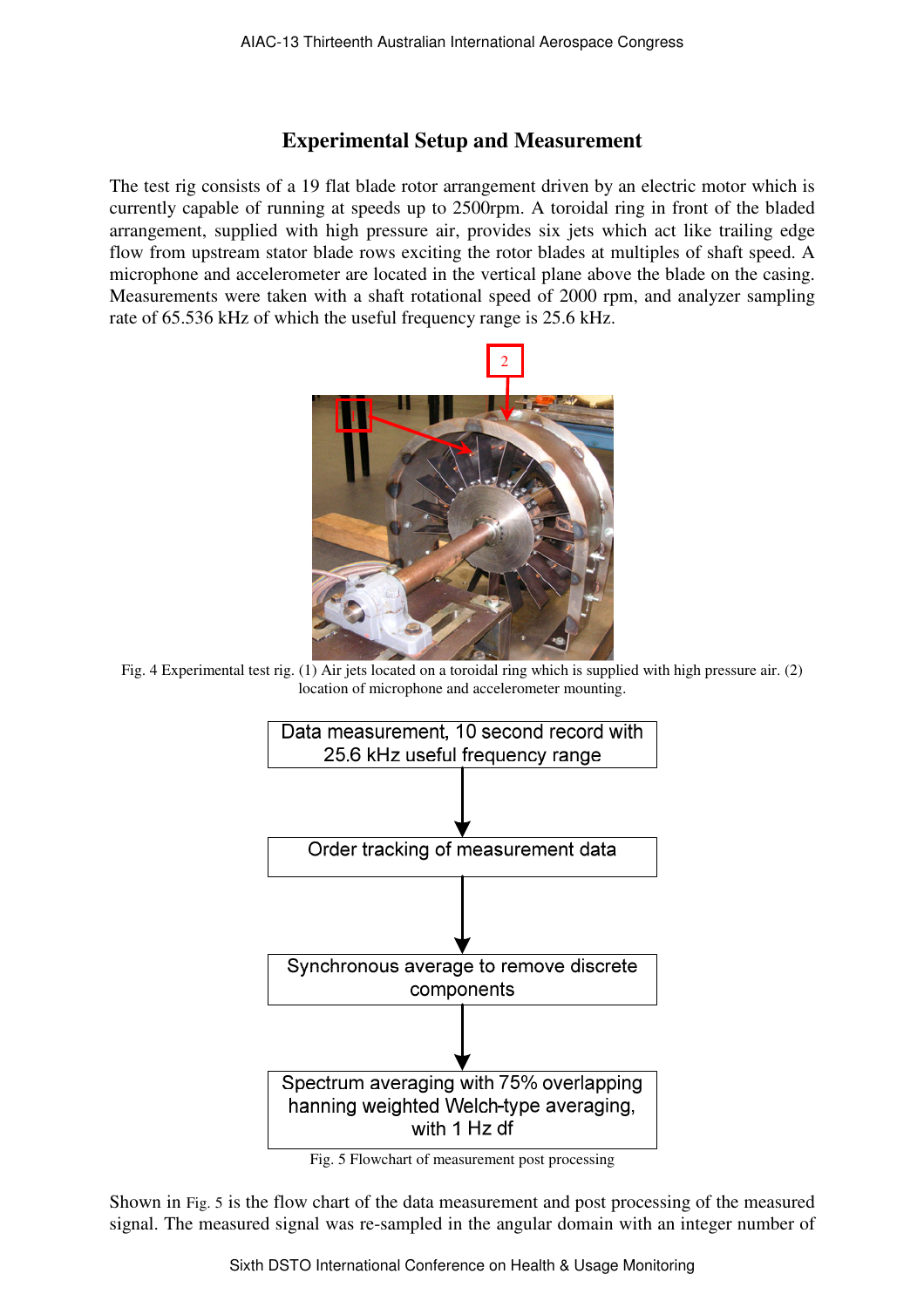## **Experimental Setup and Measurement**

The test rig consists of a 19 flat blade rotor arrangement driven by an electric motor which is currently capable of running at speeds up to 2500rpm. A toroidal ring in front of the bladed arrangement, supplied with high pressure air, provides six jets which act like trailing edge flow from upstream stator blade rows exciting the rotor blades at multiples of shaft speed. A microphone and accelerometer are located in the vertical plane above the blade on the casing. Measurements were taken with a shaft rotational speed of 2000 rpm, and analyzer sampling rate of 65.536 kHz of which the useful frequency range is 25.6 kHz.



Fig. 4 Experimental test rig. (1) Air jets located on a toroidal ring which is supplied with high pressure air. (2) location of microphone and accelerometer mounting.



Fig. 5 Flowchart of measurement post processing

Shown in Fig. 5 is the flow chart of the data measurement and post processing of the measured signal. The measured signal was re-sampled in the angular domain with an integer number of

Sixth DSTO International Conference on Health & Usage Monitoring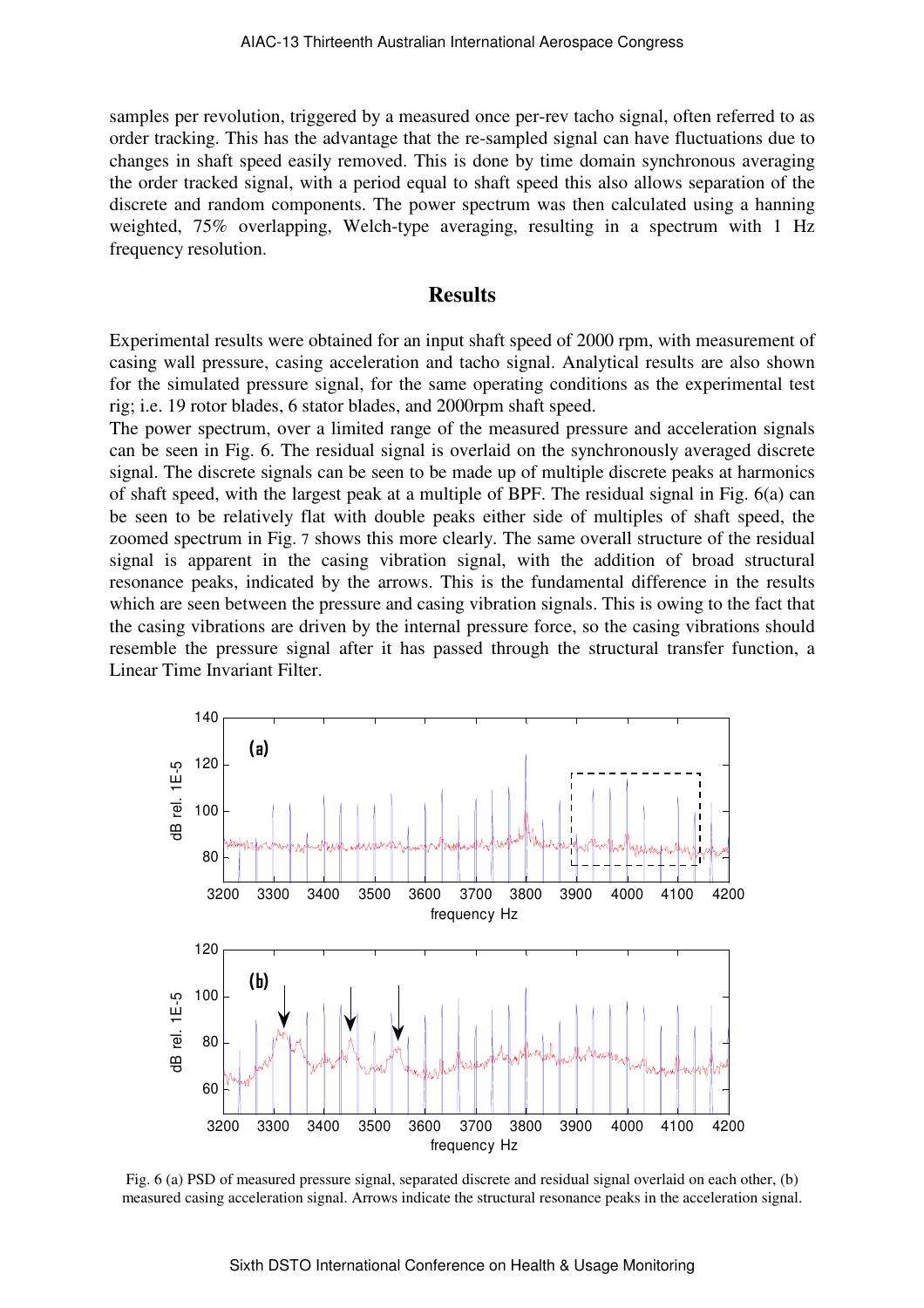samples per revolution, triggered by a measured once per-rev tacho signal, often referred to as order tracking. This has the advantage that the re-sampled signal can have fluctuations due to changes in shaft speed easily removed. This is done by time domain synchronous averaging the order tracked signal, with a period equal to shaft speed this also allows separation of the discrete and random components. The power spectrum was then calculated using a hanning weighted, 75% overlapping, Welch-type averaging, resulting in a spectrum with 1 Hz frequency resolution.

#### **Results**

Experimental results were obtained for an input shaft speed of 2000 rpm, with measurement of casing wall pressure, casing acceleration and tacho signal. Analytical results are also shown for the simulated pressure signal, for the same operating conditions as the experimental test rig; i.e. 19 rotor blades, 6 stator blades, and 2000rpm shaft speed.

The power spectrum, over a limited range of the measured pressure and acceleration signals can be seen in Fig. 6. The residual signal is overlaid on the synchronously averaged discrete signal. The discrete signals can be seen to be made up of multiple discrete peaks at harmonics of shaft speed, with the largest peak at a multiple of BPF. The residual signal in Fig. 6(a) can be seen to be relatively flat with double peaks either side of multiples of shaft speed, the zoomed spectrum in Fig. 7 shows this more clearly. The same overall structure of the residual signal is apparent in the casing vibration signal, with the addition of broad structural resonance peaks, indicated by the arrows. This is the fundamental difference in the results which are seen between the pressure and casing vibration signals. This is owing to the fact that the casing vibrations are driven by the internal pressure force, so the casing vibrations should resemble the pressure signal after it has passed through the structural transfer function, a Linear Time Invariant Filter.



Fig. 6 (a) PSD of measured pressure signal, separated discrete and residual signal overlaid on each other, (b) measured casing acceleration signal. Arrows indicate the structural resonance peaks in the acceleration signal.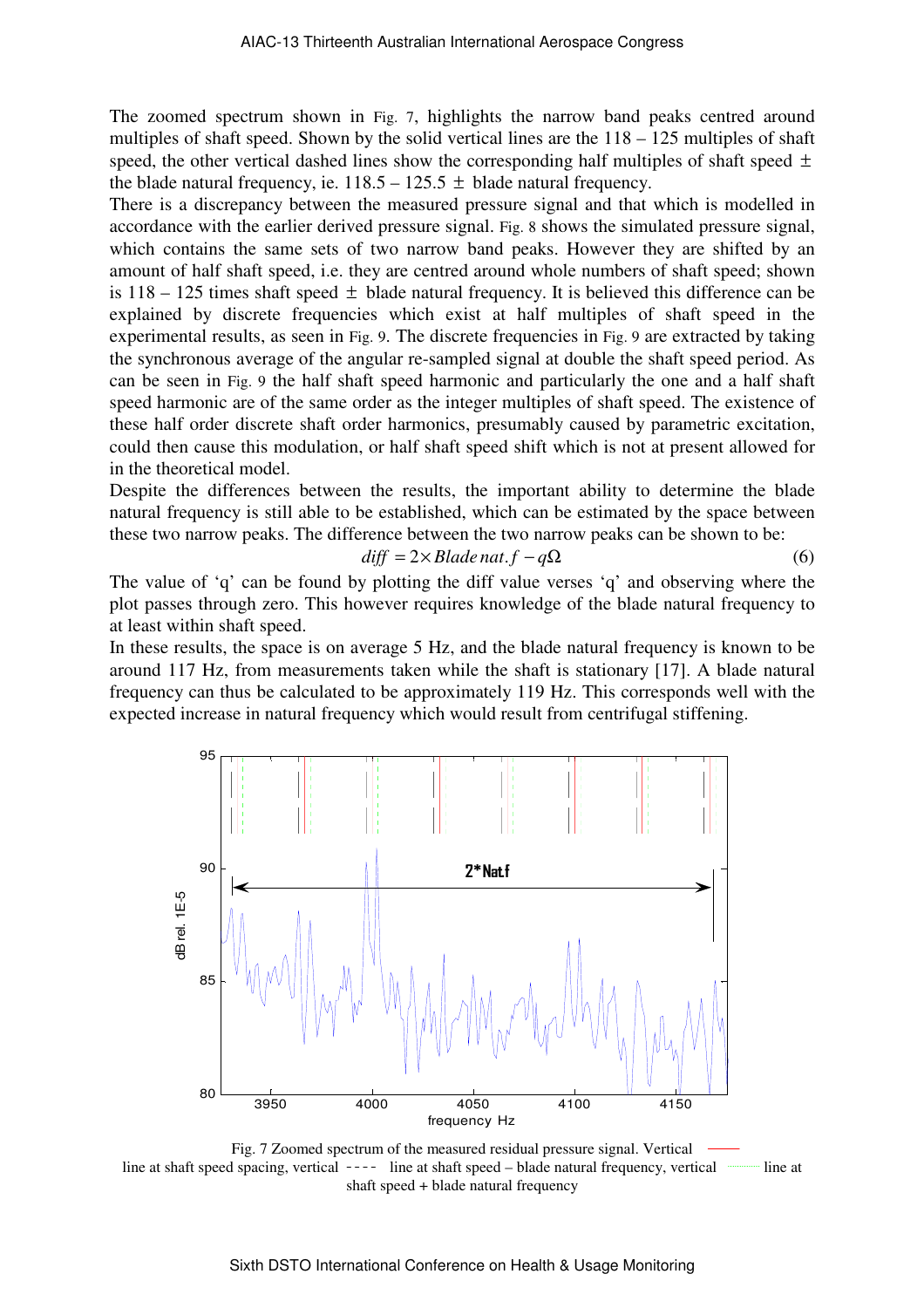The zoomed spectrum shown in Fig. 7, highlights the narrow band peaks centred around multiples of shaft speed. Shown by the solid vertical lines are the  $118 - 125$  multiples of shaft speed, the other vertical dashed lines show the corresponding half multiples of shaft speed  $\pm$ the blade natural frequency, ie.  $118.5 - 125.5 \pm$  blade natural frequency.

There is a discrepancy between the measured pressure signal and that which is modelled in accordance with the earlier derived pressure signal. Fig. 8 shows the simulated pressure signal, which contains the same sets of two narrow band peaks. However they are shifted by an amount of half shaft speed, i.e. they are centred around whole numbers of shaft speed; shown is  $118 - 125$  times shaft speed  $\pm$  blade natural frequency. It is believed this difference can be explained by discrete frequencies which exist at half multiples of shaft speed in the experimental results, as seen in Fig. 9. The discrete frequencies in Fig. 9 are extracted by taking the synchronous average of the angular re-sampled signal at double the shaft speed period. As can be seen in Fig. 9 the half shaft speed harmonic and particularly the one and a half shaft speed harmonic are of the same order as the integer multiples of shaft speed. The existence of these half order discrete shaft order harmonics, presumably caused by parametric excitation, could then cause this modulation, or half shaft speed shift which is not at present allowed for in the theoretical model.

Despite the differences between the results, the important ability to determine the blade natural frequency is still able to be established, which can be estimated by the space between these two narrow peaks. The difference between the two narrow peaks can be shown to be:

$$
diff = 2 \times B \quad [6]
$$

The value of 'q' can be found by plotting the diff value verses 'q' and observing where the plot passes through zero. This however requires knowledge of the blade natural frequency to at least within shaft speed.

In these results, the space is on average 5 Hz, and the blade natural frequency is known to be around 117 Hz, from measurements taken while the shaft is stationary [17]. A blade natural frequency can thus be calculated to be approximately 119 Hz. This corresponds well with the expected increase in natural frequency which would result from centrifugal stiffening.



Fig. 7 Zoomed spectrum of the measured residual pressure signal. Vertical line at shaft speed spacing, vertical  $--$  line at shaft speed – blade natural frequency, vertical  $--$  line at shaft speed + blade natural frequency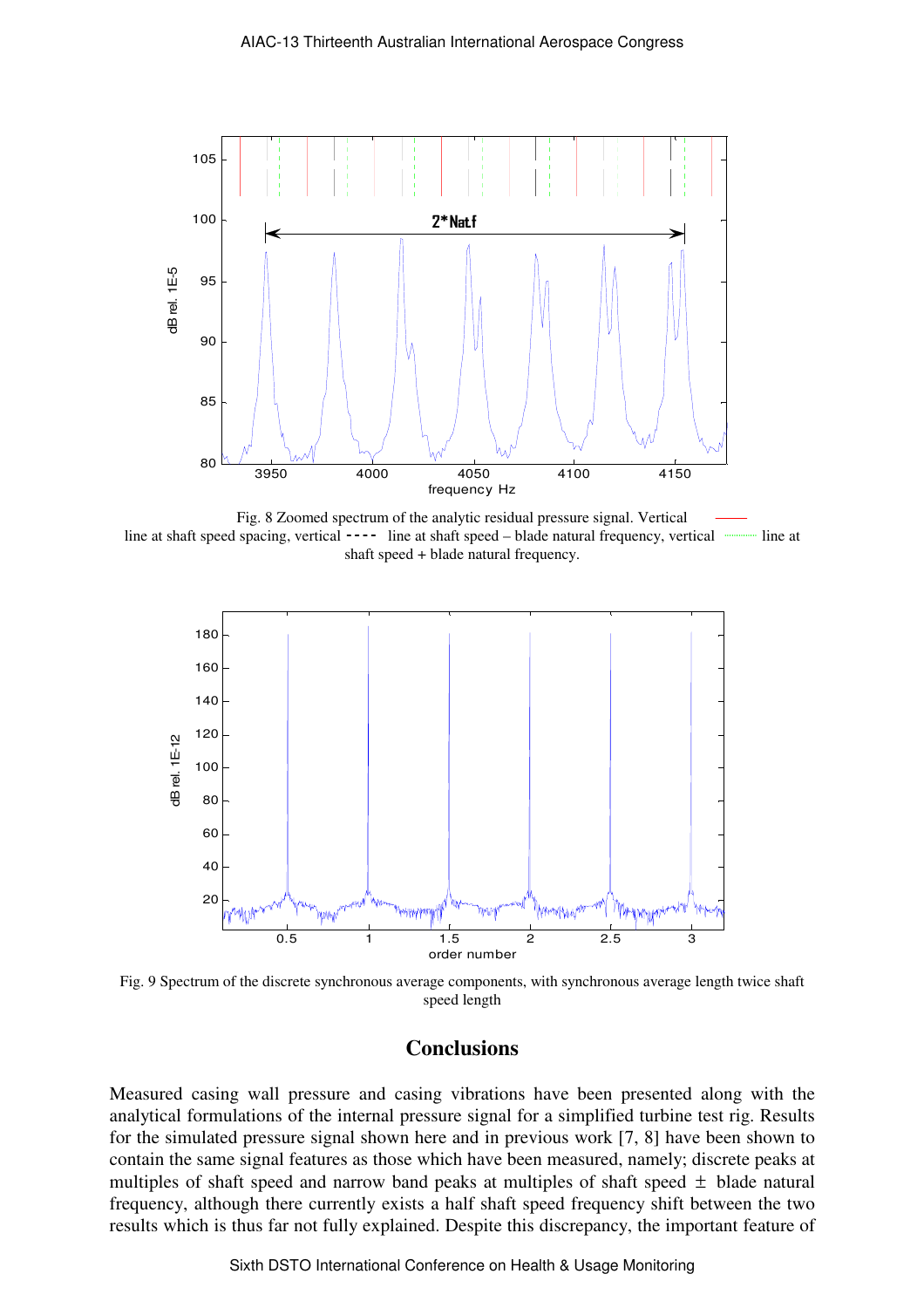

Fig. 8 Zoomed spectrum of the analytic residual pressure signal. Vertical line at shaft speed spacing, vertical  $---$  line at shaft speed – blade natural frequency, vertical interval ine at shaft speed + blade natural frequency.



Fig. 9 Spectrum of the discrete synchronous average components, with synchronous average length twice shaft speed length

#### **Conclusions**

Measured casing wall pressure and casing vibrations have been presented along with the analytical formulations of the internal pressure signal for a simplified turbine test rig. Results for the simulated pressure signal shown here and in previous work [7, 8] have been shown to contain the same signal features as those which have been measured, namely; discrete peaks at multiples of shaft speed and narrow band peaks at multiples of shaft speed  $\pm$  blade natural frequency, although there currently exists a half shaft speed frequency shift between the two results which is thus far not fully explained. Despite this discrepancy, the important feature of

Sixth DSTO International Conference on Health & Usage Monitoring